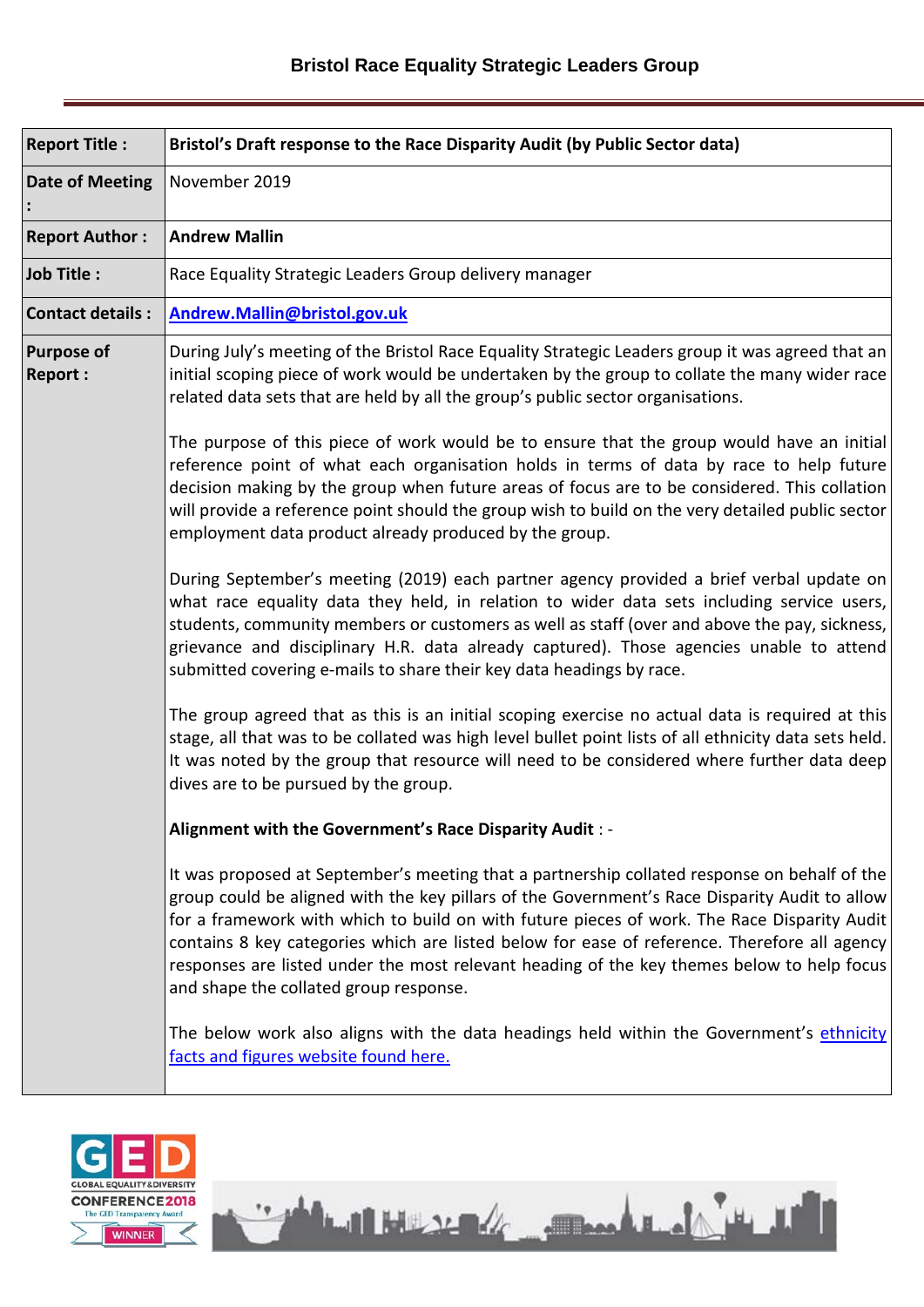| <b>Report Title:</b>                | Bristol's Draft response to the Race Disparity Audit (by Public Sector data)                                                                                                                                                                                                                                                                                                                                                                                                                                                         |  |
|-------------------------------------|--------------------------------------------------------------------------------------------------------------------------------------------------------------------------------------------------------------------------------------------------------------------------------------------------------------------------------------------------------------------------------------------------------------------------------------------------------------------------------------------------------------------------------------|--|
| <b>Date of Meeting</b>              | November 2019                                                                                                                                                                                                                                                                                                                                                                                                                                                                                                                        |  |
| <b>Report Author:</b>               | <b>Andrew Mallin</b>                                                                                                                                                                                                                                                                                                                                                                                                                                                                                                                 |  |
| Job Title:                          | Race Equality Strategic Leaders Group delivery manager                                                                                                                                                                                                                                                                                                                                                                                                                                                                               |  |
| <b>Contact details:</b>             | Andrew.Mallin@bristol.gov.uk                                                                                                                                                                                                                                                                                                                                                                                                                                                                                                         |  |
| <b>Purpose of</b><br><b>Report:</b> | During July's meeting of the Bristol Race Equality Strategic Leaders group it was agreed that an<br>initial scoping piece of work would be undertaken by the group to collate the many wider race<br>related data sets that are held by all the group's public sector organisations.                                                                                                                                                                                                                                                 |  |
|                                     | The purpose of this piece of work would be to ensure that the group would have an initial<br>reference point of what each organisation holds in terms of data by race to help future<br>decision making by the group when future areas of focus are to be considered. This collation<br>will provide a reference point should the group wish to build on the very detailed public sector<br>employment data product already produced by the group.                                                                                   |  |
|                                     | During September's meeting (2019) each partner agency provided a brief verbal update on<br>what race equality data they held, in relation to wider data sets including service users,<br>students, community members or customers as well as staff (over and above the pay, sickness,<br>grievance and disciplinary H.R. data already captured). Those agencies unable to attend<br>submitted covering e-mails to share their key data headings by race.                                                                             |  |
|                                     | The group agreed that as this is an initial scoping exercise no actual data is required at this<br>stage, all that was to be collated was high level bullet point lists of all ethnicity data sets held.<br>It was noted by the group that resource will need to be considered where further data deep<br>dives are to be pursued by the group.                                                                                                                                                                                      |  |
|                                     | Alignment with the Government's Race Disparity Audit : -                                                                                                                                                                                                                                                                                                                                                                                                                                                                             |  |
|                                     | It was proposed at September's meeting that a partnership collated response on behalf of the<br>group could be aligned with the key pillars of the Government's Race Disparity Audit to allow<br>for a framework with which to build on with future pieces of work. The Race Disparity Audit<br>contains 8 key categories which are listed below for ease of reference. Therefore all agency<br>responses are listed under the most relevant heading of the key themes below to help focus<br>and shape the collated group response. |  |
|                                     | The below work also aligns with the data headings held within the Government's ethnicity<br>facts and figures website found here.                                                                                                                                                                                                                                                                                                                                                                                                    |  |

He HELL MAN

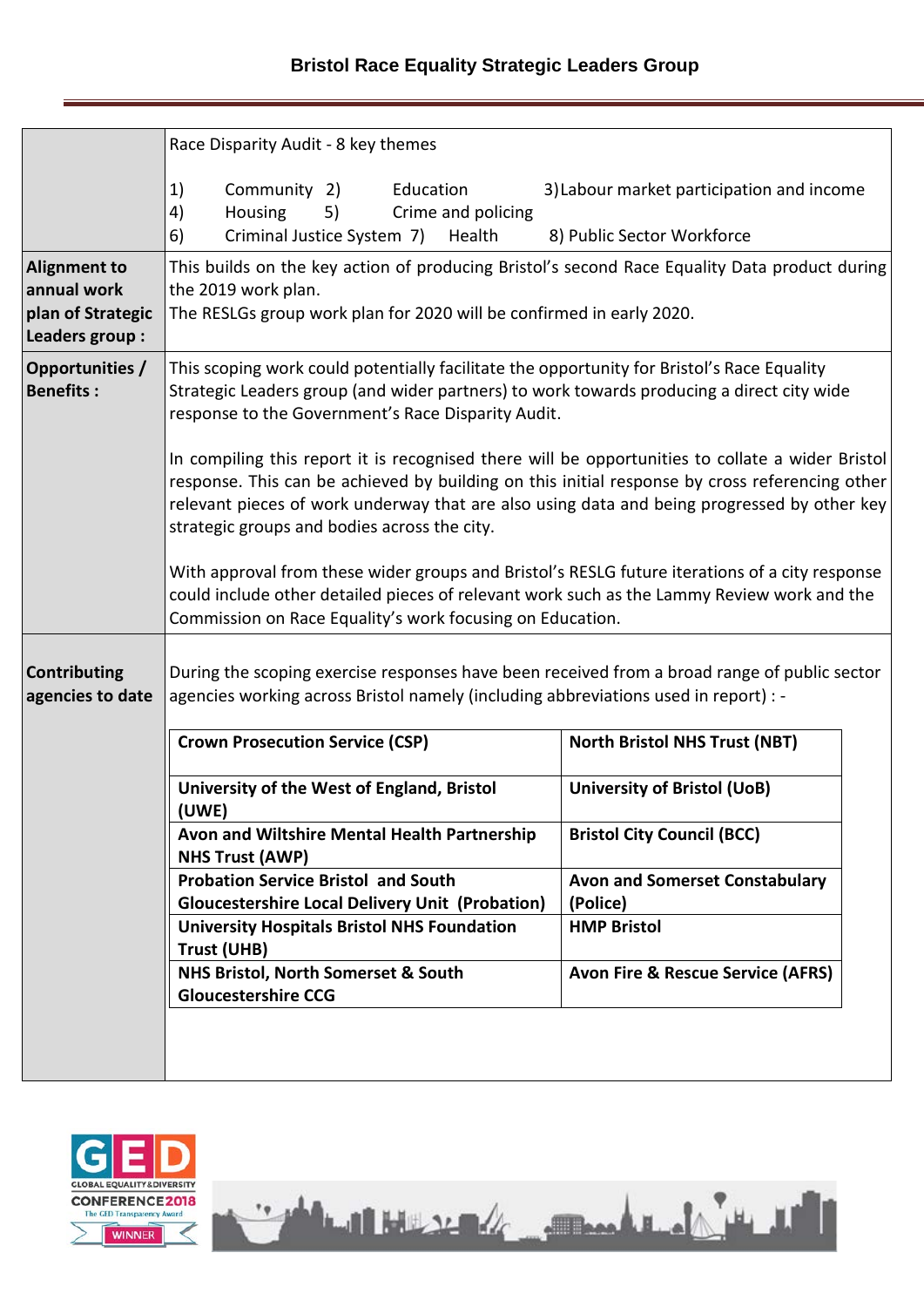## **Bristol Race Equality Strategic Leaders Group**

|                                                                            | Race Disparity Audit - 8 key themes                                                                                                                                                                                                                                                                                                                                                                                                                                                                                                                                                                                                                                                                  |                                                                         |  |
|----------------------------------------------------------------------------|------------------------------------------------------------------------------------------------------------------------------------------------------------------------------------------------------------------------------------------------------------------------------------------------------------------------------------------------------------------------------------------------------------------------------------------------------------------------------------------------------------------------------------------------------------------------------------------------------------------------------------------------------------------------------------------------------|-------------------------------------------------------------------------|--|
|                                                                            | 1)<br>Community 2)<br>Education<br>Housing<br>5)<br>Crime and policing<br>4)<br>6)<br>Criminal Justice System 7)<br>Health                                                                                                                                                                                                                                                                                                                                                                                                                                                                                                                                                                           | 3) Labour market participation and income<br>8) Public Sector Workforce |  |
| <b>Alignment to</b><br>annual work<br>plan of Strategic<br>Leaders group : | This builds on the key action of producing Bristol's second Race Equality Data product during<br>the 2019 work plan.<br>The RESLGs group work plan for 2020 will be confirmed in early 2020.                                                                                                                                                                                                                                                                                                                                                                                                                                                                                                         |                                                                         |  |
| Opportunities /<br><b>Benefits:</b>                                        | This scoping work could potentially facilitate the opportunity for Bristol's Race Equality<br>Strategic Leaders group (and wider partners) to work towards producing a direct city wide<br>response to the Government's Race Disparity Audit.<br>In compiling this report it is recognised there will be opportunities to collate a wider Bristol<br>response. This can be achieved by building on this initial response by cross referencing other<br>relevant pieces of work underway that are also using data and being progressed by other key<br>strategic groups and bodies across the city.<br>With approval from these wider groups and Bristol's RESLG future iterations of a city response |                                                                         |  |
|                                                                            | could include other detailed pieces of relevant work such as the Lammy Review work and the<br>Commission on Race Equality's work focusing on Education.                                                                                                                                                                                                                                                                                                                                                                                                                                                                                                                                              |                                                                         |  |
| <b>Contributing</b><br>agencies to date                                    | During the scoping exercise responses have been received from a broad range of public sector<br>agencies working across Bristol namely (including abbreviations used in report) : -                                                                                                                                                                                                                                                                                                                                                                                                                                                                                                                  |                                                                         |  |
|                                                                            | <b>Crown Prosecution Service (CSP)</b>                                                                                                                                                                                                                                                                                                                                                                                                                                                                                                                                                                                                                                                               | <b>North Bristol NHS Trust (NBT)</b>                                    |  |
|                                                                            | University of the West of England, Bristol<br>(UWE)                                                                                                                                                                                                                                                                                                                                                                                                                                                                                                                                                                                                                                                  | <b>University of Bristol (UoB)</b>                                      |  |
|                                                                            | Avon and Wiltshire Mental Health Partnership<br><b>NHS Trust (AWP)</b>                                                                                                                                                                                                                                                                                                                                                                                                                                                                                                                                                                                                                               | <b>Bristol City Council (BCC)</b>                                       |  |
|                                                                            | <b>Probation Service Bristol and South</b><br><b>Gloucestershire Local Delivery Unit (Probation)</b>                                                                                                                                                                                                                                                                                                                                                                                                                                                                                                                                                                                                 | <b>Avon and Somerset Constabulary</b><br>(Police)                       |  |
|                                                                            | <b>University Hospitals Bristol NHS Foundation</b><br>Trust (UHB)                                                                                                                                                                                                                                                                                                                                                                                                                                                                                                                                                                                                                                    | <b>HMP Bristol</b>                                                      |  |
|                                                                            | NHS Bristol, North Somerset & South<br><b>Gloucestershire CCG</b>                                                                                                                                                                                                                                                                                                                                                                                                                                                                                                                                                                                                                                    | <b>Avon Fire &amp; Rescue Service (AFRS)</b>                            |  |
|                                                                            |                                                                                                                                                                                                                                                                                                                                                                                                                                                                                                                                                                                                                                                                                                      |                                                                         |  |

Martin Holly Are an and the Martin Holly

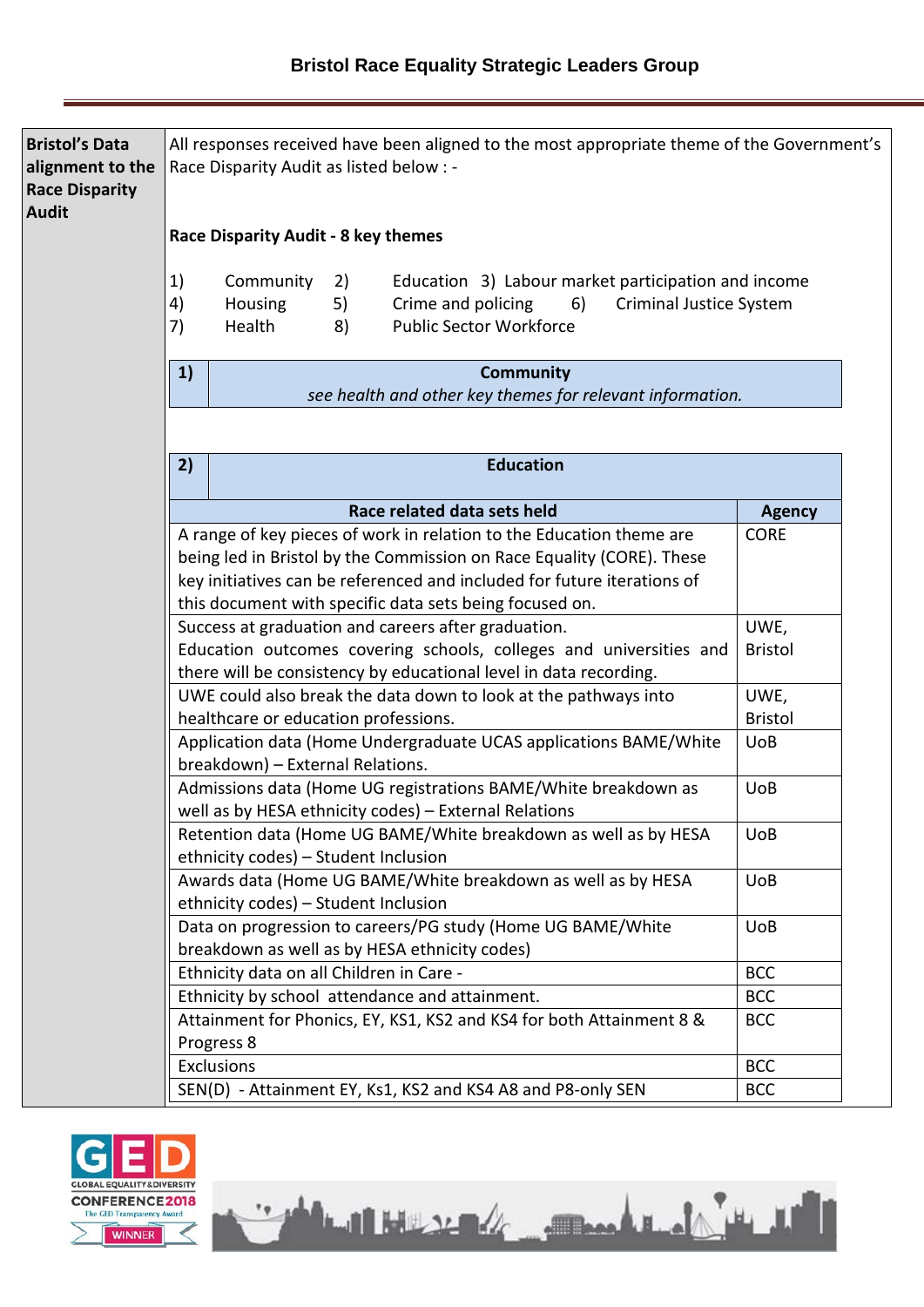| <b>Bristol's Data</b><br>alignment to the<br><b>Race Disparity</b><br><b>Audit</b> |                | All responses received have been aligned to the most appropriate theme of the Government's<br>Race Disparity Audit as listed below : -                                                                                                                                              |                        |
|------------------------------------------------------------------------------------|----------------|-------------------------------------------------------------------------------------------------------------------------------------------------------------------------------------------------------------------------------------------------------------------------------------|------------------------|
|                                                                                    |                | Race Disparity Audit - 8 key themes                                                                                                                                                                                                                                                 |                        |
|                                                                                    | 1)<br>4)<br>7) | Community<br>Education 3) Labour market participation and income<br>2)<br>Crime and policing<br>6)<br>Housing<br>5)<br><b>Criminal Justice System</b><br><b>Public Sector Workforce</b><br>Health<br>8)                                                                             |                        |
|                                                                                    | 1)             | <b>Community</b><br>see health and other key themes for relevant information.                                                                                                                                                                                                       |                        |
|                                                                                    |                |                                                                                                                                                                                                                                                                                     |                        |
|                                                                                    | 2)             | <b>Education</b>                                                                                                                                                                                                                                                                    |                        |
|                                                                                    |                | Race related data sets held                                                                                                                                                                                                                                                         | <b>Agency</b>          |
|                                                                                    |                | A range of key pieces of work in relation to the Education theme are<br>being led in Bristol by the Commission on Race Equality (CORE). These<br>key initiatives can be referenced and included for future iterations of<br>this document with specific data sets being focused on. | <b>CORE</b>            |
|                                                                                    |                | Success at graduation and careers after graduation.<br>Education outcomes covering schools, colleges and universities and<br>there will be consistency by educational level in data recording.                                                                                      | UWE,<br><b>Bristol</b> |
|                                                                                    |                | UWE could also break the data down to look at the pathways into<br>healthcare or education professions.                                                                                                                                                                             | UWE,<br><b>Bristol</b> |
|                                                                                    |                | Application data (Home Undergraduate UCAS applications BAME/White<br>breakdown) - External Relations.                                                                                                                                                                               | <b>UoB</b>             |
|                                                                                    |                | Admissions data (Home UG registrations BAME/White breakdown as<br>well as by HESA ethnicity codes) - External Relations                                                                                                                                                             | <b>UoB</b>             |
|                                                                                    |                | Retention data (Home UG BAME/White breakdown as well as by HESA<br>ethnicity codes) - Student Inclusion                                                                                                                                                                             | <b>UoB</b>             |
|                                                                                    |                | Awards data (Home UG BAME/White breakdown as well as by HESA<br>ethnicity codes) - Student Inclusion                                                                                                                                                                                | <b>UoB</b>             |
|                                                                                    |                | Data on progression to careers/PG study (Home UG BAME/White<br>breakdown as well as by HESA ethnicity codes)                                                                                                                                                                        | <b>UoB</b>             |
|                                                                                    |                | Ethnicity data on all Children in Care -                                                                                                                                                                                                                                            | <b>BCC</b>             |
|                                                                                    |                | Ethnicity by school attendance and attainment.                                                                                                                                                                                                                                      | <b>BCC</b>             |
|                                                                                    |                | Attainment for Phonics, EY, KS1, KS2 and KS4 for both Attainment 8 &<br>Progress 8                                                                                                                                                                                                  | <b>BCC</b>             |
|                                                                                    |                | Exclusions                                                                                                                                                                                                                                                                          | <b>BCC</b>             |
|                                                                                    |                | SEN(D) - Attainment EY, Ks1, KS2 and KS4 A8 and P8-only SEN                                                                                                                                                                                                                         | <b>BCC</b>             |

The Mercedes Company of the Mercedes

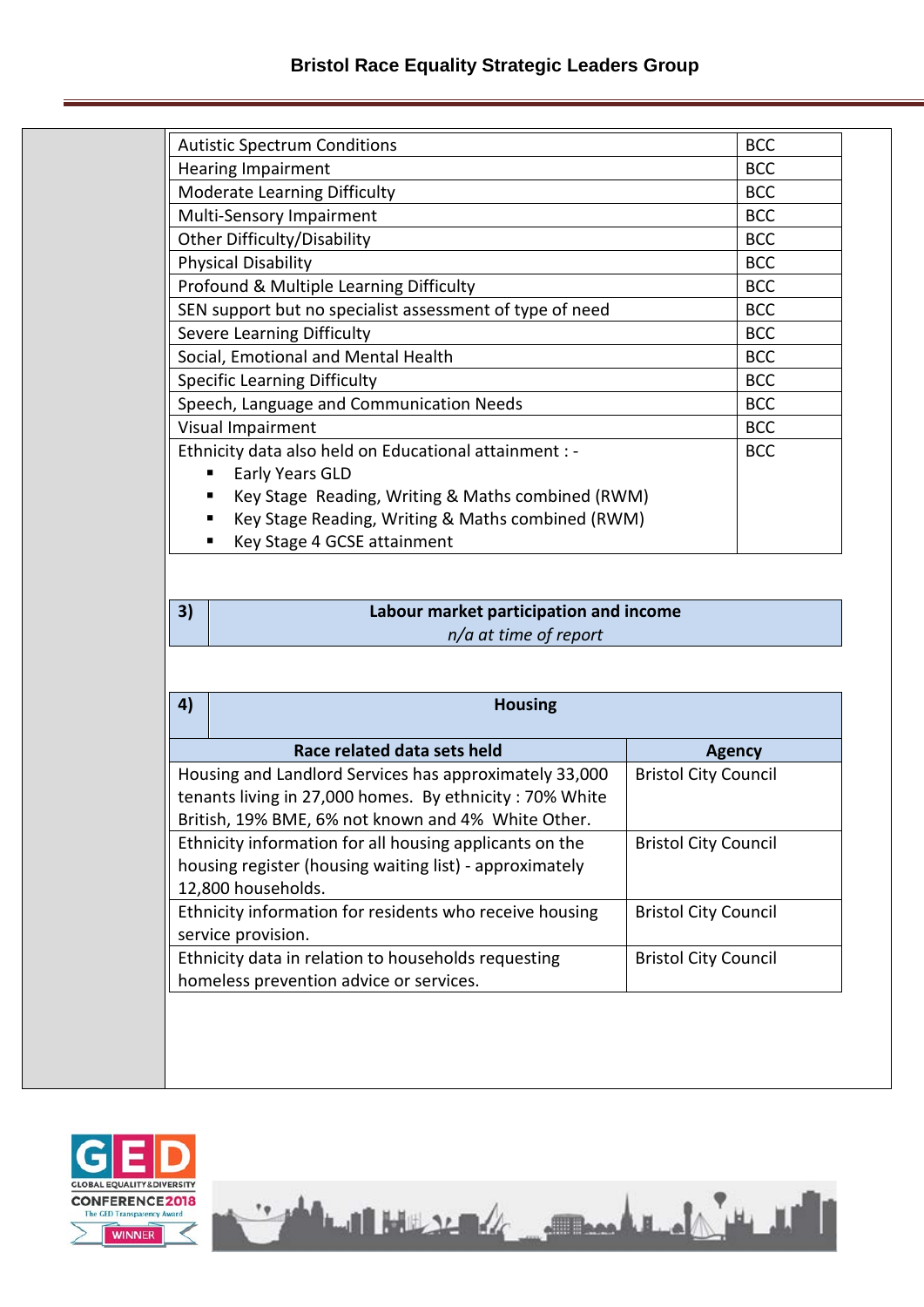| <b>Autistic Spectrum Conditions</b>                      | <b>BCC</b> |
|----------------------------------------------------------|------------|
| <b>Hearing Impairment</b>                                | <b>BCC</b> |
| Moderate Learning Difficulty                             | <b>BCC</b> |
| Multi-Sensory Impairment                                 | <b>BCC</b> |
| Other Difficulty/Disability                              | <b>BCC</b> |
| <b>Physical Disability</b>                               | <b>BCC</b> |
| Profound & Multiple Learning Difficulty                  | <b>BCC</b> |
| SEN support but no specialist assessment of type of need | <b>BCC</b> |
| <b>Severe Learning Difficulty</b>                        | <b>BCC</b> |
| Social, Emotional and Mental Health                      | <b>BCC</b> |
| <b>Specific Learning Difficulty</b>                      | <b>BCC</b> |
| Speech, Language and Communication Needs                 | <b>BCC</b> |
| Visual Impairment                                        | <b>BCC</b> |
| Ethnicity data also held on Educational attainment : -   | <b>BCC</b> |
| Early Years GLD                                          |            |
| Key Stage Reading, Writing & Maths combined (RWM)<br>п   |            |
| Key Stage Reading, Writing & Maths combined (RWM)<br>п   |            |
| $Van$ $C+222$ $A$ $CCT$ $A+2i$                           |            |

# Key Stage 4 GCSE attainment

### **3) Labour market participation and income** *n/a at time of report*

| 4) | <b>Housing</b>                                                                                                                                                                                         |               |  |  |
|----|--------------------------------------------------------------------------------------------------------------------------------------------------------------------------------------------------------|---------------|--|--|
|    | Race related data sets held                                                                                                                                                                            | <b>Agency</b> |  |  |
|    | Housing and Landlord Services has approximately 33,000<br><b>Bristol City Council</b><br>tenants living in 27,000 homes. By ethnicity: 70% White<br>British, 19% BME, 6% not known and 4% White Other. |               |  |  |
|    | Ethnicity information for all housing applicants on the<br><b>Bristol City Council</b><br>housing register (housing waiting list) - approximately<br>12,800 households.                                |               |  |  |
|    | Ethnicity information for residents who receive housing<br><b>Bristol City Council</b><br>service provision.                                                                                           |               |  |  |
|    | Ethnicity data in relation to households requesting<br><b>Bristol City Council</b><br>homeless prevention advice or services.                                                                          |               |  |  |

The Mercedes Comment of the M

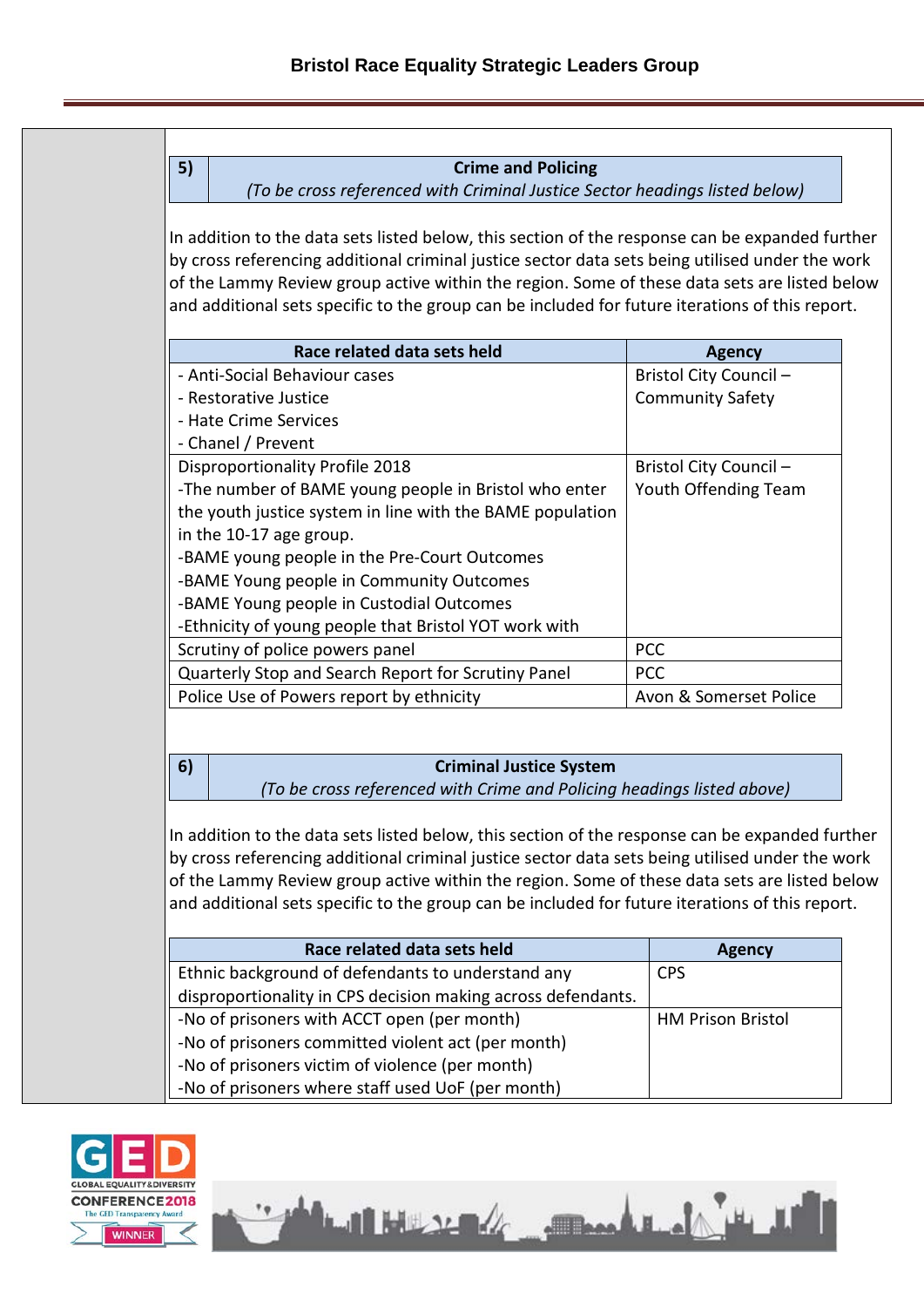#### **5) Crime and Policing**

*(To be cross referenced with Criminal Justice Sector headings listed below)*

In addition to the data sets listed below, this section of the response can be expanded further by cross referencing additional criminal justice sector data sets being utilised under the work of the Lammy Review group active within the region. Some of these data sets are listed below and additional sets specific to the group can be included for future iterations of this report.

| Race related data sets held                               | <b>Agency</b>           |
|-----------------------------------------------------------|-------------------------|
| - Anti-Social Behaviour cases                             | Bristol City Council -  |
| - Restorative Justice                                     | <b>Community Safety</b> |
| - Hate Crime Services                                     |                         |
| - Chanel / Prevent                                        |                         |
| <b>Disproportionality Profile 2018</b>                    | Bristol City Council -  |
| -The number of BAME young people in Bristol who enter     | Youth Offending Team    |
| the youth justice system in line with the BAME population |                         |
| in the 10-17 age group.                                   |                         |
| -BAME young people in the Pre-Court Outcomes              |                         |
| -BAME Young people in Community Outcomes                  |                         |
| -BAME Young people in Custodial Outcomes                  |                         |
| -Ethnicity of young people that Bristol YOT work with     |                         |
| Scrutiny of police powers panel                           | <b>PCC</b>              |
| Quarterly Stop and Search Report for Scrutiny Panel       | <b>PCC</b>              |
| Police Use of Powers report by ethnicity                  | Avon & Somerset Police  |

#### **6) Criminal Justice System**

*(To be cross referenced with Crime and Policing headings listed above)*

In addition to the data sets listed below, this section of the response can be expanded further by cross referencing additional criminal justice sector data sets being utilised under the work of the Lammy Review group active within the region. Some of these data sets are listed below and additional sets specific to the group can be included for future iterations of this report.

| Race related data sets held                                  | <b>Agency</b>            |
|--------------------------------------------------------------|--------------------------|
| Ethnic background of defendants to understand any            | <b>CPS</b>               |
| disproportionality in CPS decision making across defendants. |                          |
| -No of prisoners with ACCT open (per month)                  | <b>HM Prison Bristol</b> |
| -No of prisoners committed violent act (per month)           |                          |
| -No of prisoners victim of violence (per month)              |                          |
| -No of prisoners where staff used UoF (per month)            |                          |

Latitude de Companie de la

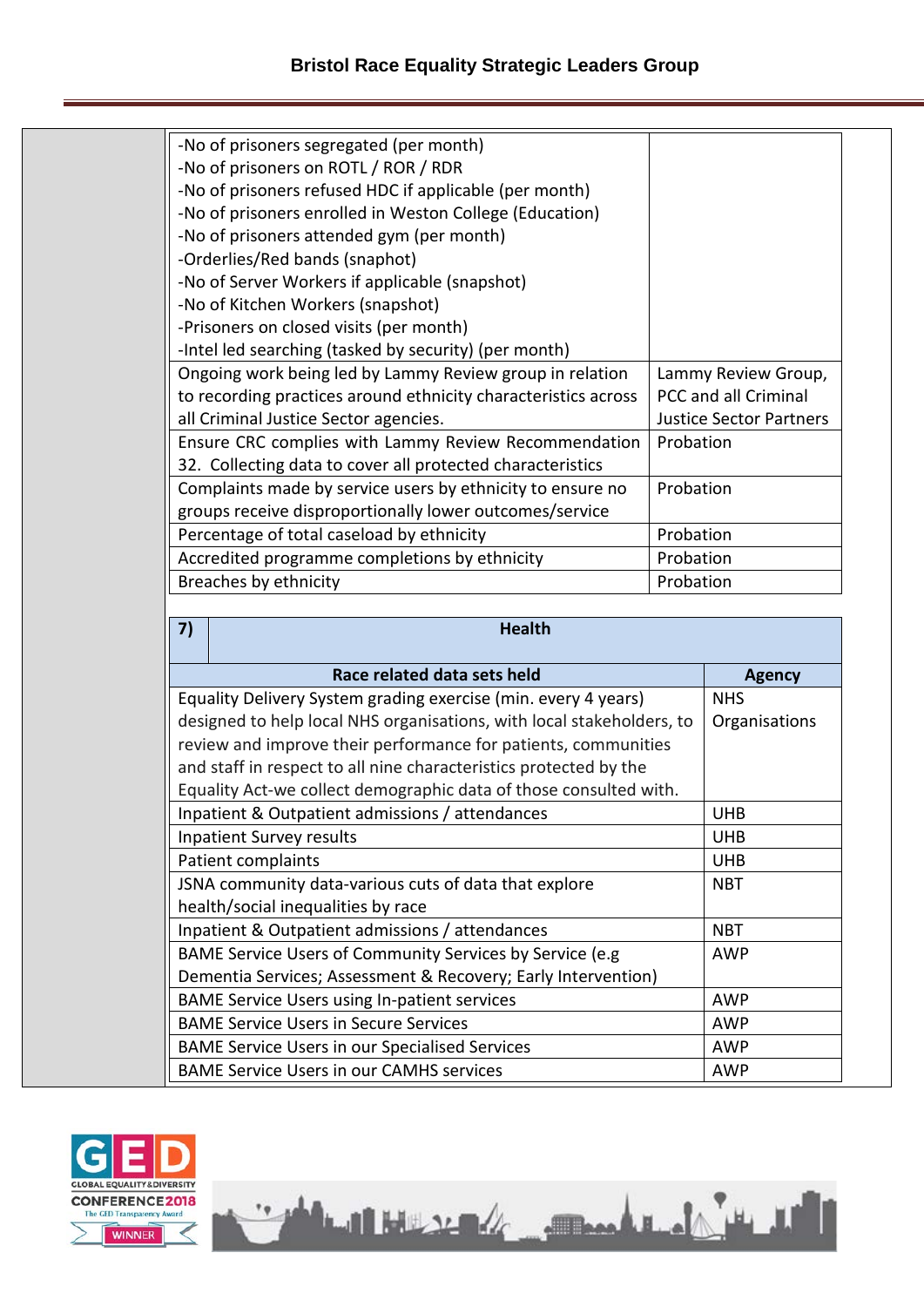| -No of prisoners segregated (per month)                        |                                |
|----------------------------------------------------------------|--------------------------------|
| -No of prisoners on ROTL / ROR / RDR                           |                                |
| -No of prisoners refused HDC if applicable (per month)         |                                |
| -No of prisoners enrolled in Weston College (Education)        |                                |
| -No of prisoners attended gym (per month)                      |                                |
| -Orderlies/Red bands (snaphot)                                 |                                |
| -No of Server Workers if applicable (snapshot)                 |                                |
| -No of Kitchen Workers (snapshot)                              |                                |
| -Prisoners on closed visits (per month)                        |                                |
| -Intel led searching (tasked by security) (per month)          |                                |
| Ongoing work being led by Lammy Review group in relation       | Lammy Review Group,            |
| to recording practices around ethnicity characteristics across | <b>PCC and all Criminal</b>    |
| all Criminal Justice Sector agencies.                          | <b>Justice Sector Partners</b> |
| Ensure CRC complies with Lammy Review Recommendation           | Probation                      |
| 32. Collecting data to cover all protected characteristics     |                                |
| Complaints made by service users by ethnicity to ensure no     | Probation                      |
| groups receive disproportionally lower outcomes/service        |                                |
| Percentage of total caseload by ethnicity                      | Probation                      |
| Accredited programme completions by ethnicity                  | Probation                      |
| Breaches by ethnicity                                          | Probation                      |

| 7)                                 | <b>Health</b>                                                         |               |
|------------------------------------|-----------------------------------------------------------------------|---------------|
|                                    | Race related data sets held                                           | <b>Agency</b> |
|                                    | Equality Delivery System grading exercise (min. every 4 years)        | <b>NHS</b>    |
|                                    | designed to help local NHS organisations, with local stakeholders, to | Organisations |
|                                    | review and improve their performance for patients, communities        |               |
|                                    | and staff in respect to all nine characteristics protected by the     |               |
|                                    | Equality Act-we collect demographic data of those consulted with.     |               |
|                                    | Inpatient & Outpatient admissions / attendances                       | <b>UHB</b>    |
|                                    | <b>Inpatient Survey results</b>                                       | <b>UHB</b>    |
|                                    | Patient complaints                                                    | <b>UHB</b>    |
|                                    | JSNA community data-various cuts of data that explore                 | <b>NBT</b>    |
| health/social inequalities by race |                                                                       |               |
|                                    | Inpatient & Outpatient admissions / attendances                       | <b>NBT</b>    |
|                                    | BAME Service Users of Community Services by Service (e.g              | AWP           |
|                                    | Dementia Services; Assessment & Recovery; Early Intervention)         |               |
|                                    | <b>BAME Service Users using In-patient services</b>                   | AWP           |
|                                    | <b>BAME Service Users in Secure Services</b>                          | <b>AWP</b>    |
|                                    | <b>BAME Service Users in our Specialised Services</b>                 | AWP           |
|                                    | <b>BAME Service Users in our CAMHS services</b>                       | AWP           |

The Mercedes of Company of the M

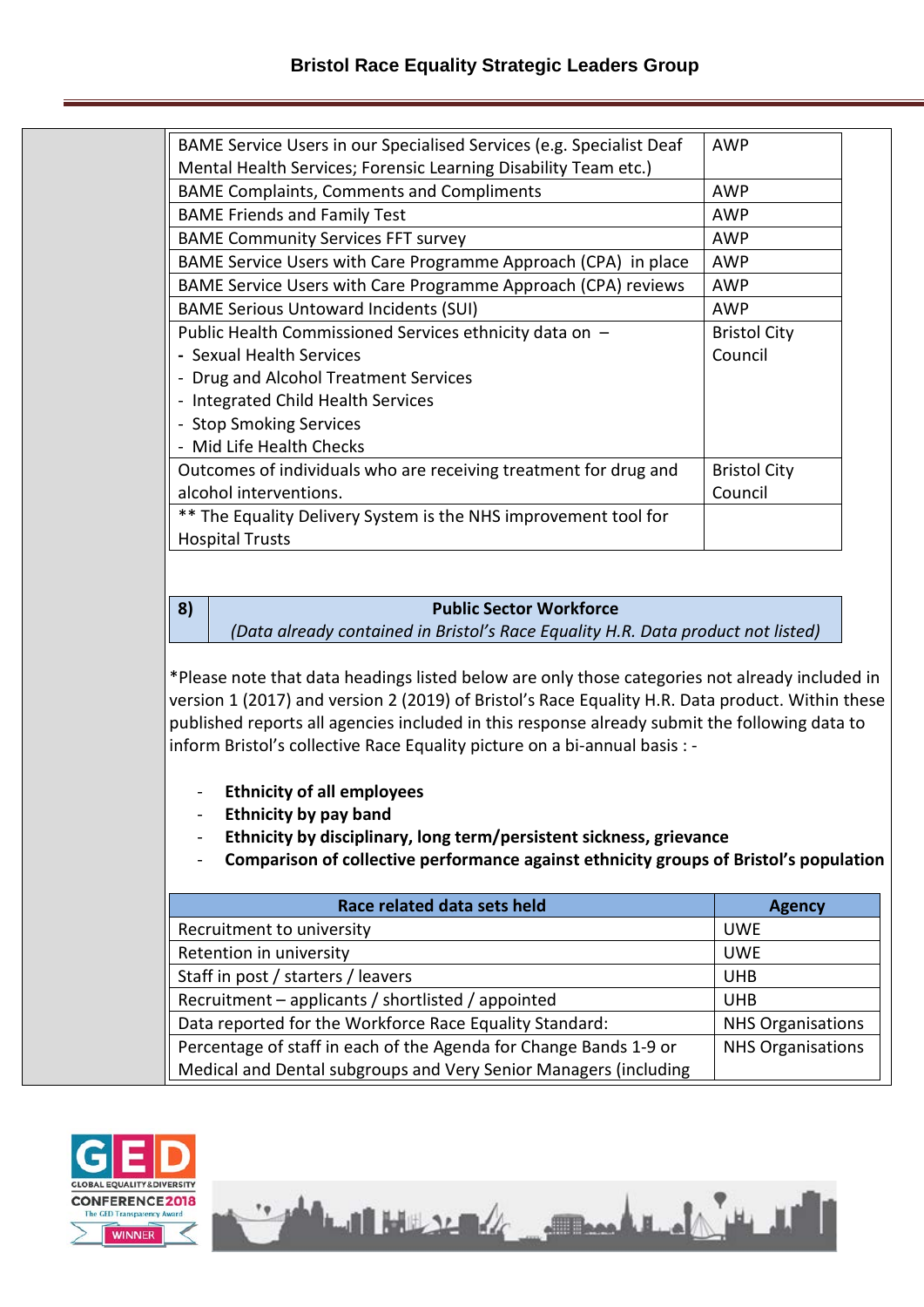| BAME Service Users in our Specialised Services (e.g. Specialist Deaf | <b>AWP</b>          |
|----------------------------------------------------------------------|---------------------|
| Mental Health Services; Forensic Learning Disability Team etc.)      |                     |
| <b>BAME Complaints, Comments and Compliments</b>                     | AWP                 |
| <b>BAME Friends and Family Test</b>                                  | AWP                 |
| <b>BAME Community Services FFT survey</b>                            | AWP                 |
| BAME Service Users with Care Programme Approach (CPA) in place       | AWP                 |
| BAME Service Users with Care Programme Approach (CPA) reviews        | AWP                 |
| <b>BAME Serious Untoward Incidents (SUI)</b>                         | AWP                 |
| Public Health Commissioned Services ethnicity data on -              | <b>Bristol City</b> |
| - Sexual Health Services                                             | Council             |
| - Drug and Alcohol Treatment Services                                |                     |
| - Integrated Child Health Services                                   |                     |
| - Stop Smoking Services                                              |                     |
| - Mid Life Health Checks                                             |                     |
| Outcomes of individuals who are receiving treatment for drug and     | <b>Bristol City</b> |
| alcohol interventions.                                               | Council             |
| ** The Equality Delivery System is the NHS improvement tool for      |                     |
| <b>Hospital Trusts</b>                                               |                     |

#### **8) Public Sector Workforce**

*(Data already contained in Bristol's Race Equality H.R. Data product not listed)*

\*Please note that data headings listed below are only those categories not already included in version 1 (2017) and version 2 (2019) of Bristol's Race Equality H.R. Data product. Within these published reports all agencies included in this response already submit the following data to inform Bristol's collective Race Equality picture on a bi-annual basis : -

- **Ethnicity of all employees**
- **Ethnicity by pay band**
- **Ethnicity by disciplinary, long term/persistent sickness, grievance**
- **Comparison of collective performance against ethnicity groups of Bristol's population**

| Race related data sets held                                       | <b>Agency</b>            |
|-------------------------------------------------------------------|--------------------------|
| Recruitment to university                                         | <b>UWE</b>               |
| Retention in university                                           | <b>UWE</b>               |
| Staff in post / starters / leavers                                | <b>UHB</b>               |
| Recruitment – applicants / shortlisted / appointed                | <b>UHB</b>               |
| Data reported for the Workforce Race Equality Standard:           | <b>NHS Organisations</b> |
| Percentage of staff in each of the Agenda for Change Bands 1-9 or | <b>NHS Organisations</b> |
| Medical and Dental subgroups and Very Senior Managers (including  |                          |



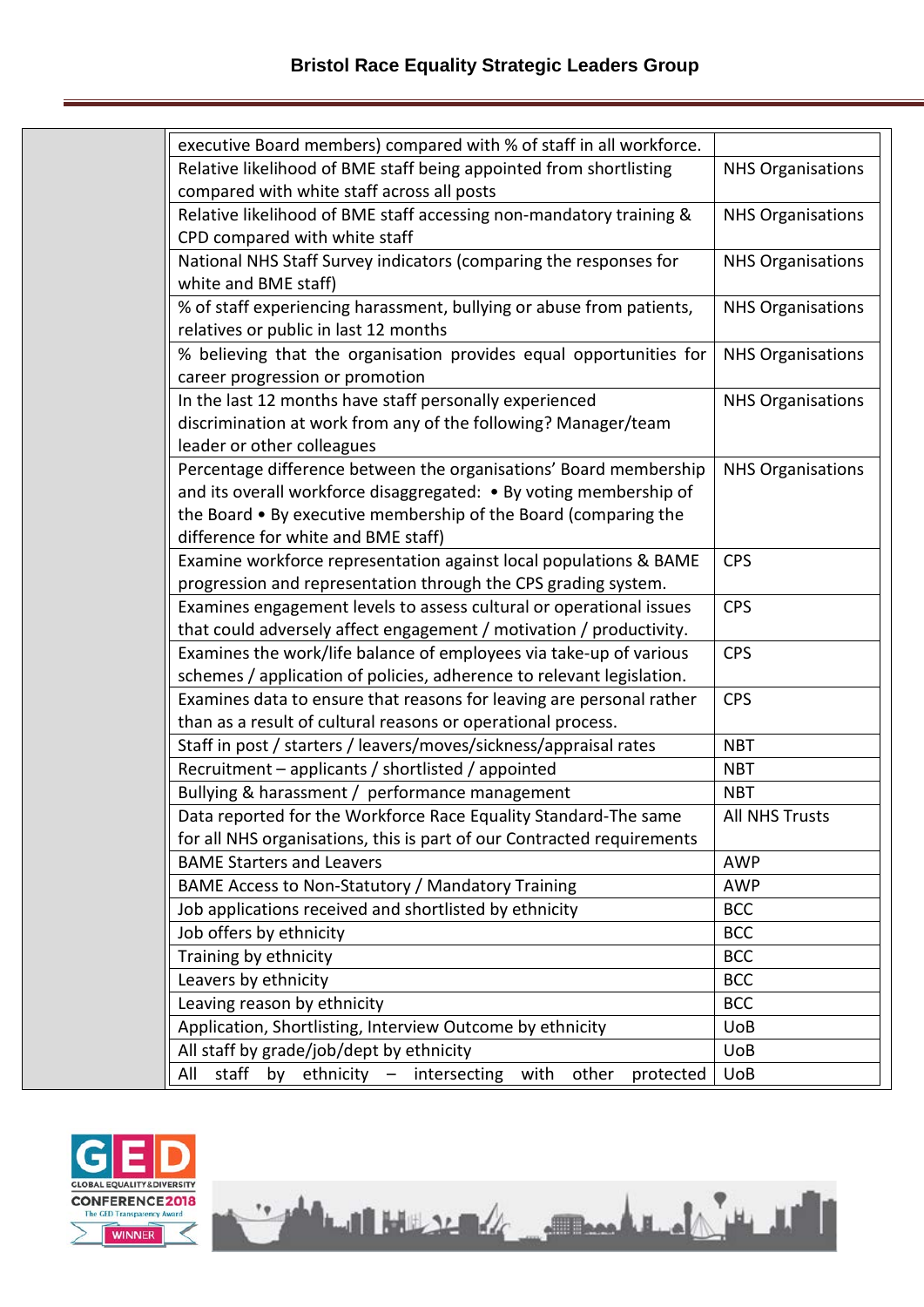| executive Board members) compared with % of staff in all workforce.             |                          |
|---------------------------------------------------------------------------------|--------------------------|
| Relative likelihood of BME staff being appointed from shortlisting              | <b>NHS Organisations</b> |
| compared with white staff across all posts                                      |                          |
| Relative likelihood of BME staff accessing non-mandatory training &             | <b>NHS Organisations</b> |
| CPD compared with white staff                                                   |                          |
| National NHS Staff Survey indicators (comparing the responses for               | <b>NHS Organisations</b> |
| white and BME staff)                                                            |                          |
| % of staff experiencing harassment, bullying or abuse from patients,            | <b>NHS Organisations</b> |
| relatives or public in last 12 months                                           |                          |
| % believing that the organisation provides equal opportunities for              | <b>NHS Organisations</b> |
| career progression or promotion                                                 |                          |
| In the last 12 months have staff personally experienced                         | <b>NHS Organisations</b> |
| discrimination at work from any of the following? Manager/team                  |                          |
| leader or other colleagues                                                      |                          |
| Percentage difference between the organisations' Board membership               | <b>NHS Organisations</b> |
| and its overall workforce disaggregated: • By voting membership of              |                          |
| the Board • By executive membership of the Board (comparing the                 |                          |
| difference for white and BME staff)                                             |                          |
| Examine workforce representation against local populations & BAME               | <b>CPS</b>               |
| progression and representation through the CPS grading system.                  |                          |
| Examines engagement levels to assess cultural or operational issues             | <b>CPS</b>               |
| that could adversely affect engagement / motivation / productivity.             |                          |
| Examines the work/life balance of employees via take-up of various              | <b>CPS</b>               |
| schemes / application of policies, adherence to relevant legislation.           |                          |
| Examines data to ensure that reasons for leaving are personal rather            | <b>CPS</b>               |
| than as a result of cultural reasons or operational process.                    |                          |
| Staff in post / starters / leavers/moves/sickness/appraisal rates               | <b>NBT</b>               |
| Recruitment – applicants / shortlisted / appointed                              | <b>NBT</b>               |
| Bullying & harassment / performance management                                  | <b>NBT</b>               |
| Data reported for the Workforce Race Equality Standard-The same                 | <b>All NHS Trusts</b>    |
| for all NHS organisations, this is part of our Contracted requirements          |                          |
| <b>BAME Starters and Leavers</b>                                                | <b>AWP</b>               |
| BAME Access to Non-Statutory / Mandatory Training                               | AWP                      |
| Job applications received and shortlisted by ethnicity                          | <b>BCC</b>               |
| Job offers by ethnicity                                                         | <b>BCC</b>               |
| Training by ethnicity                                                           | <b>BCC</b>               |
| Leavers by ethnicity                                                            | <b>BCC</b>               |
| Leaving reason by ethnicity                                                     | <b>BCC</b>               |
| Application, Shortlisting, Interview Outcome by ethnicity                       | <b>UoB</b>               |
| All staff by grade/job/dept by ethnicity                                        | <b>UoB</b>               |
| All<br>staff<br>ethnicity -<br>intersecting<br>by<br>with<br>other<br>protected | <b>UoB</b>               |
|                                                                                 |                          |

**The district of the second contract of the second contract of the second contract of the second contract of the second**